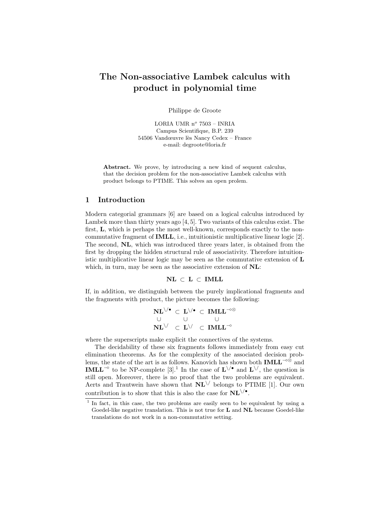# The Non-associative Lambek calculus with product in polynomial time

Philippe de Groote

LORIA UMR $n^o$ 7503 – INRIA Campus Scientifique, B.P. 239 54506 Vandœuvre lès Nancy Cedex – France e-mail: degroote@loria.fr

Abstract. We prove, by introducing a new kind of sequent calculus, that the decision problem for the non-associative Lambek calculus with product belongs to PTIME. This solves an open prolem.

#### 1 Introduction

Modern categorial grammars [6] are based on a logical calculus introduced by Lambek more than thirty years ago [4, 5]. Two variants of this calculus exist. The first, L, which is perhaps the most well-known, corresponds exactly to the noncommutative fragment of IMLL, i.e., intuitionistic multiplicative linear logic [2]. The second, NL, which was introduced three years later, is obtained from the first by dropping the hidden structural rule of associativity. Therefore intuitionistic multiplicative linear logic may be seen as the commutative extension of L which, in turn, may be seen as the associative extension of  $NL$ :

 $NL \subset L \subset IMLL$ 

If, in addition, we distinguish between the purely implicational fragments and the fragments with product, the picture becomes the following:

$$
\begin{array}{ccc} {\bf NL} \vee^\bullet &\subset & {\bf L} \vee^\bullet &\subset & {\bf IMLL}^{-\circ \otimes} \\ \cup && \cup && \cup \\ {\bf NL} \vee && \subset & {\bf L} \vee && {\bf IMLL}^{-\circ} \end{array}
$$

where the superscripts make explicit the connectives of the systems.

The decidability of these six fragments follows immediately from easy cut elimination theorems. As for the complexity of the associated decision problems, the state of the art is as follows. Kanovich has shown both  $IMLL^{-\infty}$  and **IMLL<sup>-** $\circ$ **</sup>** to be NP-complete [3].<sup>1</sup> In the case of  $\mathbf{L} \setminus \circ$  and  $\mathbf{L} \setminus \circ$ , the question is still open. Moreover, there is no proof that the two problems are equivalent. Aerts and Trautwein have shown that  $\mathbf{NL}^{\setminus\prime}$  belongs to PTIME [1]. Our own contribution is to show that this is also the case for  $\text{NL}\setminus\mathbf{C}$ .

<sup>&</sup>lt;sup>1</sup> In fact, in this case, the two problems are easily seen to be equivalent by using a Goedel-like negative translation. This is not true for L and NL because Goedel-like translations do not work in a non-commutative setting.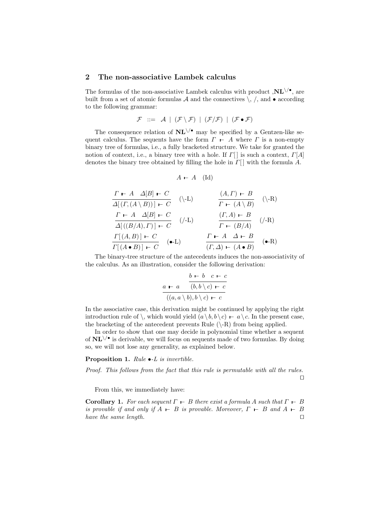#### 2 The non-associative Lambek calculus

The formulas of the non-associative Lambek calculus with product  $\mathbf{JNL}_{\setminus\bullet}$ , are built from a set of atomic formulas  $A$  and the connectives  $\backslash$ ,  $\land$ , and  $\bullet$  according to the following grammar:

$$
\mathcal{F} \ ::= \ \mathcal{A} \ \mid \ (\mathcal{F} \setminus \mathcal{F}) \ \mid \ (\mathcal{F} / \mathcal{F}) \ \mid \ (\mathcal{F} \bullet \mathcal{F})
$$

The consequence relation of  $\mathbf{NL}^{\setminus\prime\bullet}$  may be specified by a Gentzen-like sequent calculus. The sequents have the form  $\Gamma$   $\vdash$  A where  $\Gamma$  is a non-empty binary tree of formulas, i.e., a fully bracketed structure. We take for granted the notion of context, i.e., a binary tree with a hole. If  $\Gamma[\ ]$  is such a context,  $\Gamma[A]$ denotes the binary tree obtained by filling the hole in  $\Gamma[\ ]$  with the formula A.

$$
A \vdash A \quad (\mathrm{Id})
$$

$$
\frac{\Gamma \vdash A \ \Delta[B] \vdash C}{\Delta[(\Gamma, (A \setminus B))] \vdash C} \quad (\setminus \text{-L}) \qquad \frac{(A, \Gamma) \vdash B}{\Gamma \vdash (A \setminus B)} \quad (\setminus \text{-R})
$$
\n
$$
\frac{\Gamma \vdash A \ \Delta[B] \vdash C}{\Delta[((B/A), \Gamma)] \vdash C} \quad (\slash \text{-L}) \qquad \frac{(\Gamma, A) \vdash B}{\Gamma \vdash (B/A)} \quad (\slash \text{-R})
$$
\n
$$
\frac{\Gamma[(A, B)] \vdash C}{\Gamma[(A \bullet B)] \vdash C} \quad (\bullet \text{-L}) \qquad \frac{\Gamma \vdash A \ \Delta \vdash B}{(\Gamma, \Delta) \vdash (A \bullet B)} \quad (\bullet \text{-R})
$$

The binary-tree structure of the antecedents induces the non-associativity of the calculus. As an illustration, consider the following derivation:

$$
\begin{array}{cc}\n & b \vdash b & c \vdash c \\
a \vdash a & (b, b \setminus c) \vdash c \\
\hline\n & ((a, a \setminus b), b \setminus c) \vdash c\n\end{array}
$$

In the associative case, this derivation might be continued by applying the right introduction rule of  $\setminus$ , which would yield  $(a \setminus b, b \setminus c)$  –  $a \setminus c$ . In the present case, the bracketing of the antecedent prevents Rule  $(\nabla \cdot R)$  from being applied.

In order to show that one may decide in polynomial time whether a sequent of  $\text{NL}\setminus\text{I}^*$  is derivable, we will focus on sequents made of two formulas. By doing so, we will not lose any generality, as explained below.

#### Proposition 1. Rule  $\bullet$ -L is invertible.

Proof. This follows from the fact that this rule is permutable with all the rules.  $\Box$ 

From this, we immediately have:

**Corollary 1.** For each sequent  $\Gamma \vdash B$  there exist a formula A such that  $\Gamma \vdash B$ is provable if and only if  $A \vdash B$  is provable. Moreover,  $\Gamma \vdash B$  and  $A \vdash B$ have the same length.  $\square$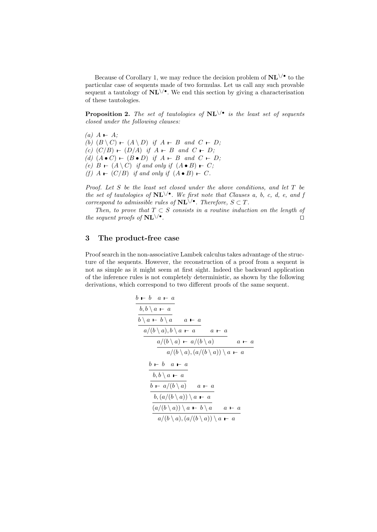Because of Corollary 1, we may reduce the decision problem of  $\text{NL}\setminus\text{`}$  to the particular case of sequents made of two formulas. Let us call any such provable sequent a tautology of  $\text{NL}\vee\text{?}$ . We end this section by giving a characterisation of these tautologies.

**Proposition 2.** The set of tautologies of  $\text{NL}\vee\text{•}$  is the least set of sequents closed under the following clauses:

 $(a)$  A – A; (b)  $(B \setminus C)$  –  $(A \setminus D)$  if  $A - B$  and  $C - D$ ; (c)  $(C/B)$  –  $(D/A)$  if  $A - B$  and  $C - D$ ; (d)  $(A \bullet C)$  –  $(B \bullet D)$  if  $A - B$  and  $C - D$ ; (e)  $B \vdash (A \setminus C)$  if and only if  $(A \bullet B) \vdash C$ ; (f)  $A \vdash (C/B)$  if and only if  $(A \bullet B) \vdash C$ .

Proof. Let S be the least set closed under the above conditions, and let T be the set of tautologies of  $\text{NL}\setminus\prime\text{.}$  We first note that Clauses a, b, c, d, e, and j correspond to admissible rules of  $\mathbf{NL}^{\setminus\prime\bullet}$ . Therefore,  $S \subset T$ .

Then, to prove that  $T \subset S$  consists in a routine induction on the length of the sequent proofs of  $\mathbf{NL} \setminus \bullet$ . . The contract of the contract of the contract of  $\Box$ 

## 3 The product-free case

Proof search in the non-associative Lambek calculus takes advantage of the structure of the sequents. However, the reconstruction of a proof from a sequent is not as simple as it might seem at first sight. Indeed the backward application of the inference rules is not completely deterministic, as shown by the following derivations, which correspond to two different proofs of the same sequent.

$$
\frac{b \vdash b \quad a \vdash a}{b, b \setminus a \vdash a}
$$
\n
$$
\frac{b \setminus a \vdash b \setminus a}{a \setminus (b \setminus a), b \setminus a \vdash a} \quad a \vdash a
$$
\n
$$
\frac{a/(b \setminus a) \vdash a/(b \setminus a)}{a/(b \setminus a), (a/(b \setminus a)) \setminus a \vdash a}
$$
\n
$$
\frac{b \vdash b \quad a \vdash a}{b, b \setminus a \vdash a}
$$
\n
$$
\frac{b \vdash a/(b \setminus a)}{b \vdash a/(b \setminus a)} \quad a \vdash a
$$
\n
$$
\frac{b \setminus (a/(b \setminus a)) \setminus a \vdash a}{a/(b \setminus a)) \setminus a \vdash a} \quad a \vdash a
$$
\n
$$
\frac{a/(b \setminus a), (a/(b \setminus a)) \setminus a \vdash a}{a/(b \setminus a), (a/(b \setminus a)) \setminus a \vdash a}
$$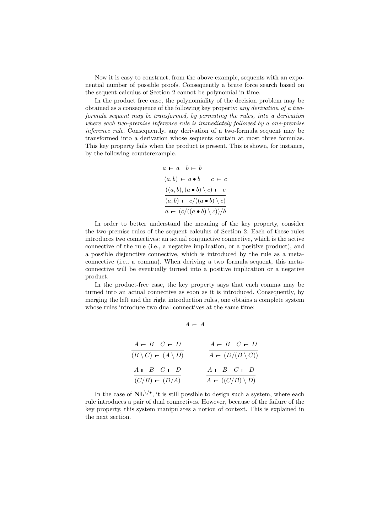Now it is easy to construct, from the above example, sequents with an exponential number of possible proofs. Consequently a brute force search based on the sequent calculus of Section 2 cannot be polynomial in time.

In the product free case, the polynomiality of the decision problem may be obtained as a consequence of the following key property: any derivation of a twoformula sequent may be transformed, by permuting the rules, into a derivation where each two-premise inference rule is immediately followed by a one-premise inference rule. Consequently, any derivation of a two-formula sequent may be transformed into a derivation whose sequents contain at most three formulas. This key property fails when the product is present. This is shown, for instance, by the following counterexample.

$$
\frac{a-a \quad b-b}{(a,b) - a \bullet b} \quad c \leftarrow c
$$

$$
\frac{((a,b),(a \bullet b) \setminus c) \leftarrow c}{(a,b) - c/((a \bullet b) \setminus c)}
$$

$$
\frac{a \leftarrow (c/((a \bullet b) \setminus c))/b}{(a \leftarrow c)/(a \bullet b) \setminus c)}
$$

In order to better understand the meaning of the key property, consider the two-premise rules of the sequent calculus of Section 2. Each of these rules introduces two connectives: an actual conjunctive connective, which is the active connective of the rule (i.e., a negative implication, or a positive product), and a possible disjunctive connective, which is introduced by the rule as a metaconnective (i.e., a comma). When deriving a two formula sequent, this metaconnective will be eventually turned into a positive implication or a negative product.

In the product-free case, the key property says that each comma may be turned into an actual connective as soon as it is introduced. Consequently, by merging the left and the right introduction rules, one obtains a complete system whose rules introduce two dual connectives at the same time:

 $A$  –  $A$ 

| $A - B \quad C - D$                          | $A - B \quad C - D$       |
|----------------------------------------------|---------------------------|
| $(B \setminus C)$ $\vdash$ $(A \setminus D)$ | $A - (D/(B \setminus C))$ |
| $A - B \quad C - D$                          | $A - B \quad C - D$       |
| $(C/B) - (D/A)$                              | $A - ((C/B) \setminus D)$ |

In the case of  $\text{NL}\setminus\prime\bullet$ , it is still possible to design such a system, where each rule introduces a pair of dual connectives. However, because of the failure of the key property, this system manipulates a notion of context. This is explained in the next section.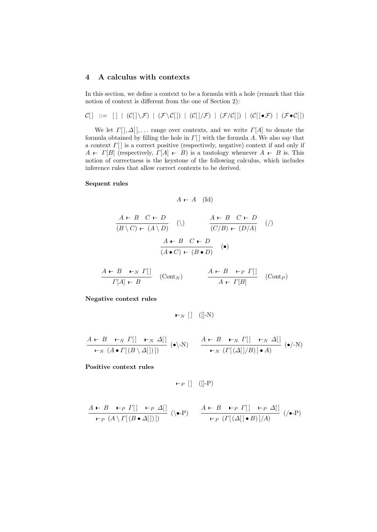# 4 A calculus with contexts

In this section, we define a context to be a formula with a hole (remark that this notion of context is different from the one of Section 2):

$$
\mathcal{C}[ \, ] \ ::= \ [ \, ] \ | \ (\mathcal{C}[ \, ] \setminus \mathcal{F}) \ | \ (\mathcal{F} \setminus \mathcal{C}[ \, ]) \ | \ (\mathcal{C}[ \, ] / \mathcal{F}) \ | \ (\mathcal{F}/\mathcal{C}[ \, ]) \ | \ (\mathcal{C}[ \, ] \bullet \mathcal{F}) \ | \ (\mathcal{F} \bullet \mathcal{C}[ \, ])
$$

We let  $\Gamma[, \Delta[, \ldots$  range over contexts, and we write  $\Gamma[A]$  to denote the formula obtained by filling the hole in  $\Gamma[\ ]$  with the formula A. We also say that a context  $\Gamma[\ ]$  is a correct positive (respectively, negative) context if and only if  $A \rightharpoonup \Gamma[B]$  (respectively,  $\Gamma[A] \rightharpoonup B$ ) is a tautology whenever  $A \rightharpoonup B$  is. This notion of correctness is the keystone of the following calculus, which includes inference rules that allow correct contexts to be derived.

#### Sequent rules

$$
A \vdash A \quad (\mathrm{Id})
$$

$$
\frac{A \vdash B \quad C \vdash D}{(B \setminus C) \vdash (A \setminus D)} \quad (\setminus) \qquad \frac{A \vdash B \quad C \vdash D}{(C/B) \vdash (D/A)} \quad (\mathsf{)}\n\frac{A \vdash B \quad C \vdash D}{(A \bullet C) \vdash (B \bullet D)} \quad (\bullet)
$$

$$
\frac{A \vdash B \quad \vdash_N \Gamma[}{\Gamma[A] \vdash B} \quad (\text{Cont}_N) \qquad \frac{A \vdash B \quad \vdash_P \Gamma[}{A \vdash \Gamma[B]} \quad (\text{Cont}_P)
$$

Negative context rules

$$
\vdash_N [\ ] \ ([]-N)
$$

$$
\frac{A \vdash B \vdash_N \Gamma[|\quad \vdash_N \Delta[}{\vdash_N (A \bullet \Gamma[(B \setminus \Delta[])])} (\bullet \setminus N) \qquad \frac{A \vdash B \vdash_N \Gamma[|\quad \vdash_N \Delta[}{\vdash_N (\Gamma[(\Delta[]/B)] \bullet A)} (\bullet / N)
$$

Positive context rules

$$
\vdash_P [] \ ([]-P)
$$

$$
\frac{A \vdash B \vdash_{P} \Gamma[|\quad \vdash_{P} \Delta[|\quad} \land \bullet \neg P) \qquad \frac{A \vdash B \vdash_{P} \Gamma[|\quad \vdash_{P} \Delta[|\quad} \land \bullet \neg P) \qquad \frac{A \vdash B \vdash_{P} \Gamma[|\quad \vdash_{P} \Delta[|\quad} \land \bullet \neg P)}{\vdash_{P} (\Gamma[(\Delta[|\bullet B)]/A)} \quad (\bullet \neg P)}
$$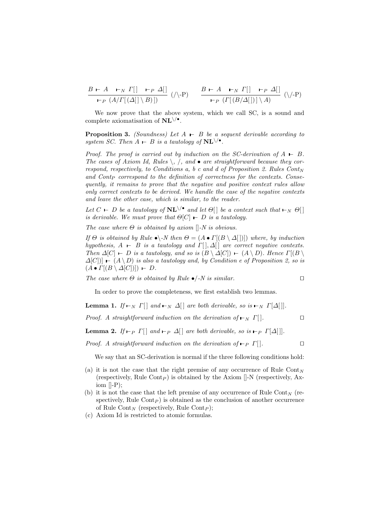$$
\frac{B \vdash A \quad \vdash_N \Gamma[|\quad \vdash_P \Delta[]}{\vdash_P (A/\Gamma[(\Delta[|\setminus B)]]} \ (\text{\\ \textbackslash P}) \qquad \frac{B \vdash A \quad \vdash_N \Gamma[|\quad \vdash_P \Delta[]}{\vdash_P (\Gamma[(B/\Delta[])]\setminus A)} \ (\text{\\ \textbackslash P})
$$

We now prove that the above system, which we call SC, is a sound and complete axiomatisation of  $\text{NL}\setminus\mathcal{P}$ .

**Proposition 3.** (Soundness) Let  $A \rightharpoonup B$  be a sequent derivable according to system SC. Then  $A \vdash B$  is a tautology of  $\text{NL}\setminus\mathcal{P}$ .

Proof. The proof is carried out by induction on the SC-derivation of  $A \vdash B$ . The cases of Axiom Id, Rules  $\backslash$ ,  $\land$ , and  $\bullet$  are straightforward because they correspond, respectively, to Conditions a, b c and d of Proposition 2. Rules  $Cont_N$ and  $Cont_P$  correspond to the definition of correctness for the contexts. Consequently, it remains to prove that the negative and positive context rules allow only correct contexts to be derived. We handle the case of the negative contexts and leave the other case, which is similar, to the reader.

Let  $C$   $\vdash$  D be a tautology of  $\text{NL}^{\setminus\text{•}}$  and let  $\Theta[$  be a context such that  $\vdash_N \Theta[$ is derivable. We must prove that  $\Theta[C] \vdash D$  is a tautology.

The case where  $\Theta$  is obtained by axiom  $\left\Vert -N\right\Vert$  is obvious.

If  $\Theta$  is obtained by Rule  $\bullet \backslash N$  then  $\Theta = (A \bullet \Gamma[(B \setminus \Delta[\cdot]))$  where, by induction hypothesis,  $A \vdash B$  is a tautology and  $\Gamma[, \Delta[]$  are correct negative contexts. Then  $\Delta[C]$  – D is a tautology, and so is  $(B \setminus \Delta[C])$  –  $(A \setminus D)$ . Hence  $\Gamma[(B \setminus$  $\Delta[C])$  –  $(A \setminus D)$  is also a tautology and, by Condition e of Proposition 2, so is  $(A \bullet \Gamma[(B \setminus \Delta[C])) \vdash D.$ 

The case where  $\Theta$  is obtained by Rule  $\bullet$ /-N is similar.

In order to prove the completeness, we first establish two lemmas.

**Lemma 1.** If  $\vdash_N \Gamma[$  and  $\vdash_N \Delta[$  are both derivable, so is  $\vdash_N \Gamma[\Delta[$  |.

Proof. A straightforward induction on the derivation of  $\vdash_N \Gamma[$ .

**Lemma 2.** If  $\vdash_{P} \Gamma[$  and  $\vdash_{P} \Delta[$  are both derivable, so is  $\vdash_{P} \Gamma[\Delta[$  |.

Proof. A straightforward induction on the derivation of  $\vdash_{P} \Gamma$ [].

We say that an SC-derivation is normal if the three following conditions hold:

- (a) it is not the case that the right premise of any occurrence of Rule Cont<sub>N</sub> (respectively, Rule Cont<sub>P</sub>) is obtained by the Axiom  $\left\vert \right\vert$ -N (respectively, Axiom  $\left[\right]-P\right);$
- (b) it is not the case that the left premise of any occurrence of Rule Cont<sub>N</sub> (respectively, Rule Cont $_P$ ) is obtained as the conclusion of another occurrence of Rule Cont<sub>N</sub> (respectively, Rule Cont<sub>P</sub>);
- (c) Axiom Id is restricted to atomic formulas.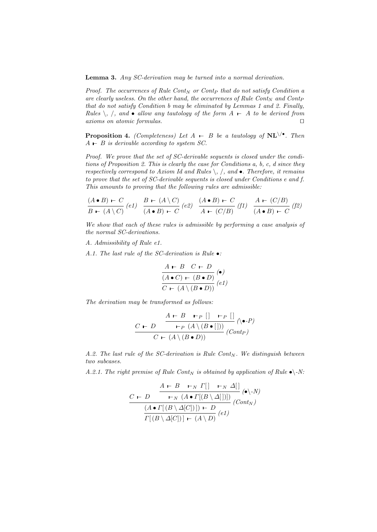Lemma 3. Any SC-derivation may be turned into a normal derivation.

Proof. The occurrences of Rule Cont $_N$  or Contp that do not satisfy Condition a are clearly useless. On the other hand, the occurrences of Rule Cont<sub>N</sub> and Cont<sub>P</sub> that do not satisfy Condition b may be eliminated by Lemmas 1 and 2. Finally, *Rules*  $\backslash$ ,  $\backslash$ , and  $\bullet$  allow any tautology of the form  $A$  ⊢  $A$  to be derived from  $axioms on atomic formulas.$ 

**Proposition 4.** (Completeness) Let  $A \t B$  be a tautology of  $NL \$ <sup> $\bullet$ </sup>. Then  $A \rightharpoonup B$  is derivable according to system SC.

Proof. We prove that the set of SC-derivable sequents is closed under the conditions of Proposition 2. This is clearly the case for Conditions a, b, c, d since they respectively correspond to Axiom Id and Rules  $\backslash$ ,  $\land$ , and  $\bullet$ . Therefore, it remains to prove that the set of SC-derivable sequents is closed under Conditions e and f. This amounts to proving that the following rules are admissible:

$$
\frac{(A \bullet B) \leftarrow C}{B \leftarrow (A \setminus C)} (e1) \quad \frac{B \leftarrow (A \setminus C)}{(A \bullet B) \leftarrow C} (e2) \quad \frac{(A \bullet B) \leftarrow C}{A \leftarrow (C/B)} (f1) \quad \frac{A \leftarrow (C/B)}{(A \bullet B) \leftarrow C} (f2)
$$

We show that each of these rules is admissible by performing a case analysis of the normal SC-derivations.

A. Admissibility of Rule e1.

A.1. The last rule of the SC-derivation is Rule •:

$$
\frac{A \vdash B \quad C \vdash D}{(A \bullet C) \vdash (B \bullet D)} \begin{pmatrix} \bullet \\ \bullet \end{pmatrix}
$$

$$
\frac{C \vdash (A \setminus (B \bullet D))}{C \vdash (A \setminus (B \bullet D))} \begin{pmatrix} eI \end{pmatrix}
$$

The derivation may be transformed as follows:

$$
\frac{A \vdash B \vdash_{P} [] \vdash_{P} []}{C \vdash (A \setminus (B \bullet []))} (\lozenge P)
$$
  

$$
C \vdash (A \setminus (B \bullet D))
$$

A.2. The last rule of the SC-derivation is Rule Cont $_N$ . We distinguish between two subcases.

A.2.1. The right premise of Rule Cont<sub>N</sub> is obtained by application of Rule  $\bullet \$ 

$$
\frac{A \vdash B \vdash_N \Gamma[|\quad \vdash_N \Delta[|\quad \text{(a)} \Delta[])}{\text{b}_N (A \bullet \Gamma[(B \setminus \Delta[])])} \cdot (\text{b}_N)}{\frac{(A \bullet \Gamma[(B \setminus \Delta[C])]) \vdash D}{\Gamma[(B \setminus \Delta[C])] \vdash (A \setminus D)} \cdot (\text{Cont}_N)}
$$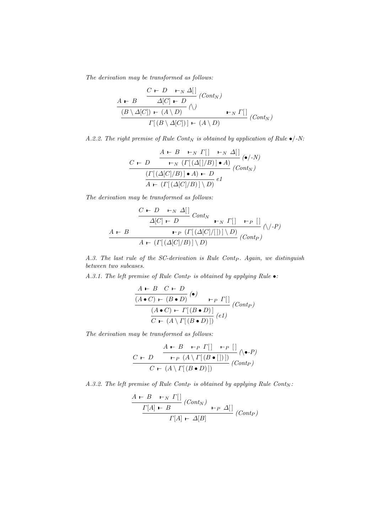The derivation may be transformed as follows:

$$
\frac{A \vdash B \quad \frac{C \vdash D \quad \vdash_N \Delta[]}{\Delta[C] \vdash D} \, (Cont_N) \,}{\frac{(B \setminus \Delta[C]) \vdash (A \setminus D)}{\Gamma[(B \setminus \Delta[C])] \vdash (A \setminus D)} \, \vdash_N \, \Gamma[]}{\Gamma[(B \setminus \Delta[C])] \vdash (A \setminus D)} \, (Cont_N)
$$

A.2.2. The right premise of Rule Cont<sub>N</sub> is obtained by application of Rule  $\bullet$ /-N:

$$
\frac{A \vdash B \vdash_N \Gamma[|\vdash_N \Delta[|\cdot,N]{\cdot N}{\cdot N \cdot (N \cdot (|\Delta[|/B) \cdot A)} \cdot (\bullet/\cdot N)}{\frac{(\Gamma[(\Delta[C]/B) \cdot A) \vdash D}{A \vdash (\Gamma[(\Delta[C]/B)] \setminus D)} e1}
$$

The derivation may be transformed as follows:

$$
\frac{C \leftarrow D \quad \vdash_N \Delta[]
$$
\n
$$
\Delta[C] \leftarrow D \quad \downarrow_{N} \Gamma[] \quad \vdash_P []
$$
\n
$$
A \leftarrow B \quad \qquad \vdash_{P} (r[(\Delta[C]/[])] \setminus D) \quad (Cont_P)
$$
\n
$$
A \leftarrow (r[(\Delta[C]/B)] \setminus D) \quad (Cont_P)
$$

A.3. The last rule of the SC-derivation is Rule Cont $_P$ . Again, we distinguish between two subcases.

A.3.1. The left premise of Rule Cont<sub>P</sub> is obtained by applying Rule  $\bullet$ :

$$
\frac{A \vdash B \quad C \vdash D}{(A \bullet C) \vdash (B \bullet D)} \stackrel{\text{(a)}}{\bullet} \qquad \qquad \vdash_{P} \Gamma[\ ]} (Cont_{P})
$$
\n
$$
\frac{(A \bullet C) \vdash \Gamma[(B \bullet D)]}{C \vdash (A \setminus \Gamma[(B \bullet D)])} (et)
$$

The derivation may be transformed as follows:

$$
\frac{C \leftarrow D \quad \xrightarrow{\begin{array}{c} A \leftarrow B \quad \leftarrow P \quad \Gamma[\ ] & \leftarrow P \quad [\ ] \\ \leftarrow P \quad (A \setminus \Gamma[(B \bullet [\ ])] \ ) \end{array}} C \leftarrow (A \setminus \Gamma[(B \bullet D)] \right)}{(Cont_P)}
$$

A.3.2. The left premise of Rule Cont<sub>P</sub> is obtained by applying Rule Cont<sub>N</sub>:

$$
\frac{A \vdash B \vdash_N \Gamma[}{\Gamma[A] \vdash B} (Cont_N) \vdash_P \Delta[}
$$
  

$$
\Gamma[A] \vdash \Delta[B]
$$
 (Cont\_P)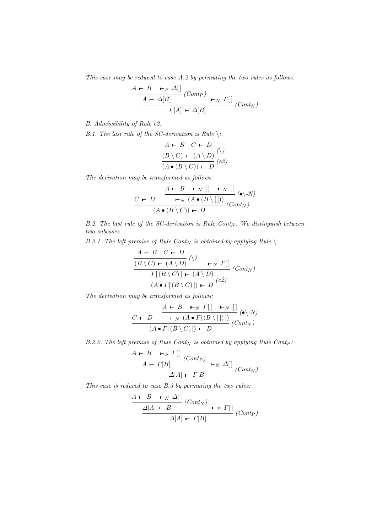This case may be reduced to case A.2 by permuting the two rules as follows:

$$
\frac{A \vdash B \quad \vdash_P \Delta[]}{A \vdash \Delta[B]} \quad (Cont_P) \quad \vdash_N \Gamma[]
$$
\n
$$
\frac{A \vdash \Delta[B]}{I[A] \vdash \Delta[B]} \quad (Cont_N)
$$

B. Admissibility of Rule e2.

B.1. The last rule of the SC-derivation is Rule  $\langle$ :

$$
\frac{A \vdash B \quad C \vdash D}{(B \setminus C) \vdash (A \setminus D)} \begin{pmatrix} \bigwedge \\ D \end{pmatrix}
$$

$$
(A \bullet (B \setminus C)) \vdash D
$$
 (e2)

The derivation may be transformed as follows:

$$
\frac{A \vdash B \vdash_N [\ ] \vdash_N [ ] }{(A \bullet (B \setminus C)) \vdash D} (\bullet \setminus N)
$$
  

$$
(Cont_N)
$$

B.2. The last rule of the SC-derivation is Rule Cont $_N$ . We distinguish between two subcases.

B.2.1. The left premise of Rule Cont<sub>N</sub> is obtained by applying Rule  $\setminus$ :

$$
\frac{A \vdash B \quad C \vdash D}{(B \setminus C) \vdash (A \setminus D)} \land \qquad \qquad \vdash_N \Gamma[
$$
\n
$$
\frac{\Gamma[(B \setminus C)] \vdash (A \setminus D)}{(A \bullet \Gamma[(B \setminus C)]) \vdash D} (cont_N)
$$

The derivation may be transformed as follows:

$$
\frac{C \vdash D \quad \xrightarrow{\quad} \quad \Gamma[\quad \vdash_N \quad [] \quad (\bullet \setminus N)}{\quad \qquad [\neg N \quad (A \bullet \Gamma[(B \setminus [])])} \quad (\bullet \setminus N)
$$
\n
$$
(A \bullet \Gamma[(B \setminus C)]) \vdash D \quad (Cont_N)
$$

B.2.2. The left premise of Rule Cont<sub>N</sub> is obtained by applying Rule Cont<sub>P</sub>:

$$
\frac{A \vdash B \quad \vdash_P \Gamma[]}{A \vdash \Gamma[B]} \quad (Cont_P) \quad \vdash_N \Delta[}
$$
\n
$$
\Delta[A] \vdash \Gamma[B] \quad (Cont_N)
$$

This case is reduced to case B.3 by permuting the two rules:

$$
\frac{A \vdash B \vdash_N \Delta[]}{\Delta[A] \vdash B} (Cont_N) \vdash_P \Gamma[]
$$
  
 
$$
\Delta[A] \vdash \Gamma[B] \qquad (Cont_P)
$$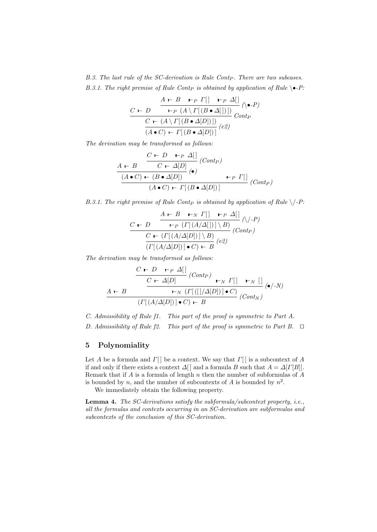$B.3.$  The last rule of the SC-derivation is Rule Cont $_P$ . There are two subcases. B.3.1. The right premise of Rule Contp is obtained by application of Rule  $\blacklozenge$ -P:

$$
\frac{A \vdash B \vdash_{P} \Gamma[|\quad \vdash_{P} \Delta[|\quad \land \bullet \cdot P)}{\vdash_{P} (A \setminus \Gamma[(B \bullet \Delta[])])} (\bullet \cdot P)}{\frac{C \vdash (A \setminus \Gamma[(B \bullet \Delta[])])}{(A \bullet C) \vdash \Gamma[(B \bullet \Delta[])]} (e2)}
$$

The derivation may be transformed as follows:

$$
\frac{A \vdash B \quad C \vdash D \quad \vdash_{P} \Delta[]}{(A \bullet C) \vdash (B \bullet \Delta[D])} \begin{pmatrix} Cont_P \\ \hline (A \bullet C) \vdash (B \bullet \Delta[D]) & \vdash_{P} \Gamma[] \\ (A \bullet C) \vdash \Gamma[(B \bullet \Delta[D])] \end{pmatrix} (Cont_P)
$$

B.3.1. The right premise of Rule Contp is obtained by application of Rule  $\setminus$ -P:

$$
\frac{A \vdash B \vdash_N \Gamma[|\quad \vdash_P \Delta[|\quad \land \neg P]}{\neg P \ (T[(A/\Delta[|)] \setminus B)} \ (\land \neg P)}{\frac{C \vdash (\Gamma[(A/\Delta[D])] \setminus B)}{\Gamma[(A/\Delta[D])] \bullet C) \vdash B}} \ (Cont_P)
$$

The derivation may be transformed as follows:

$$
\frac{C \leftarrow D \quad \leftarrow P \quad \Delta[\ ]}{C \leftarrow \Delta[D]} \quad (Cont_P)
$$
\n
$$
\frac{A \leftarrow B \qquad \qquad \leftarrow N \quad (\Gamma[\ ([]/\Delta[D])] \bullet C) \qquad \qquad (\bullet/\text{-}N)
$$
\n
$$
(\Gamma[(A/\Delta[D])] \bullet C) \leftarrow B \qquad (Cont_N)
$$

C. Admissibility of Rule f1. This part of the proof is symmetric to Part A. D. Admissibility of Rule  $f2$ . This part of the proof is symmetric to Part B.  $\Box$ 

# 5 Polynomiality

Let A be a formula and  $\Gamma[\ ]$  be a context. We say that  $\Gamma[\ ]$  is a subcontext of A if and only if there exists a context  $\Delta[]$  and a formula B such that  $A = \Delta[T[B]]$ . Remark that if  $A$  is a formula of length  $n$  then the number of subformulas of  $A$ is bounded by n, and the number of subcontexts of A is bounded by  $n^2$ .

We immediately obtain the following property.

Lemma 4. The SC-derivations satisfy the subformula/subcontext property, i.e., all the formulas and contexts occurring in an SC-derivation are subformulas and subcontexts of the conclusion of this SC-derivation.